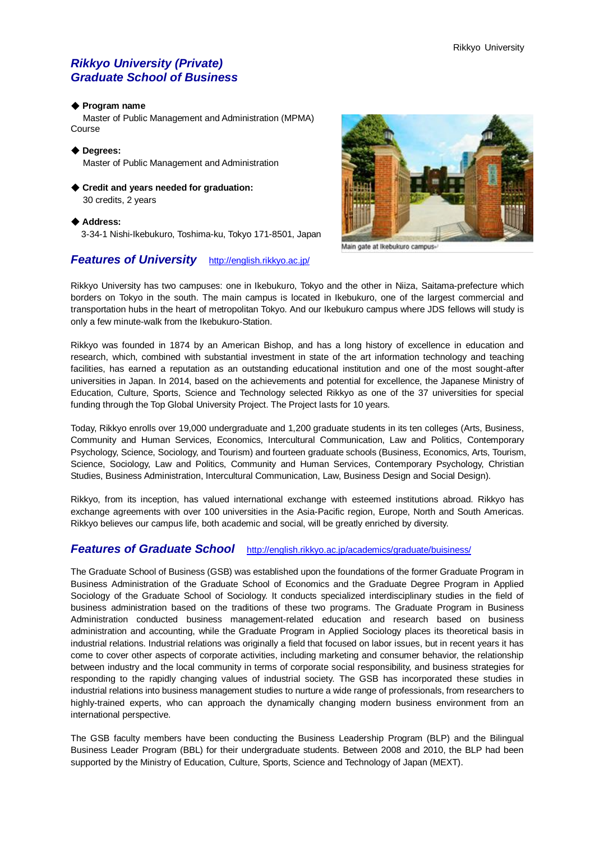# *Rikkyo University (Private) Graduate School of Business*

#### ◆ **Program name**

 Master of Public Management and Administration (MPMA) Course

◆ **Degrees:** Master of Public Management and Administration

◆ Credit and years needed for graduation: 30 credits, 2 years

◆ **Address:**

3-34-1 Nishi-Ikebukuro, Toshima-ku, Tokyo 171-8501, Japan

# *Features of University* <http://english.rikkyo.ac.jp/>



Main gate at Ikebukuro campus

Rikkyo University has two campuses: one in Ikebukuro, Tokyo and the other in Niiza, Saitama-prefecture which borders on Tokyo in the south. The main campus is located in Ikebukuro, one of the largest commercial and transportation hubs in the heart of metropolitan Tokyo. And our Ikebukuro campus where JDS fellows will study is only a few minute-walk from the Ikebukuro-Station.

Rikkyo was founded in 1874 by an American Bishop, and has a long history of excellence in education and research, which, combined with substantial investment in state of the art information technology and teaching facilities, has earned a reputation as an outstanding educational institution and one of the most sought-after universities in Japan. In 2014, based on the achievements and potential for excellence, the Japanese Ministry of Education, Culture, Sports, Science and Technology selected Rikkyo as one of the 37 universities for special funding through the Top Global University Project. The Project lasts for 10 years.

Today, Rikkyo enrolls over 19,000 undergraduate and 1,200 graduate students in its ten colleges (Arts, Business, Community and Human Services, Economics, Intercultural Communication, Law and Politics, Contemporary Psychology, Science, Sociology, and Tourism) and fourteen graduate schools (Business, Economics, Arts, Tourism, Science, Sociology, Law and Politics, Community and Human Services, Contemporary Psychology, Christian Studies, Business Administration, Intercultural Communication, Law, Business Design and Social Design).

Rikkyo, from its inception, has valued international exchange with esteemed institutions abroad. Rikkyo has exchange agreements with over 100 universities in the Asia-Pacific region, Europe, North and South Americas. Rikkyo believes our campus life, both academic and social, will be greatly enriched by diversity.

## *Features of Graduate School* <http://english.rikkyo.ac.jp/academics/graduate/buisiness/>

The Graduate School of Business (GSB) was established upon the foundations of the former Graduate Program in Business Administration of the Graduate School of Economics and the Graduate Degree Program in Applied Sociology of the Graduate School of Sociology. It conducts specialized interdisciplinary studies in the field of business administration based on the traditions of these two programs. The Graduate Program in Business Administration conducted business management-related education and research based on business administration and accounting, while the Graduate Program in Applied Sociology places its theoretical basis in industrial relations. Industrial relations was originally a field that focused on labor issues, but in recent years it has come to cover other aspects of corporate activities, including marketing and consumer behavior, the relationship between industry and the local community in terms of corporate social responsibility, and business strategies for responding to the rapidly changing values of industrial society. The GSB has incorporated these studies in industrial relations into business management studies to nurture a wide range of professionals, from researchers to highly-trained experts, who can approach the dynamically changing modern business environment from an international perspective.

The GSB faculty members have been conducting the Business Leadership Program (BLP) and the Bilingual Business Leader Program (BBL) for their undergraduate students. Between 2008 and 2010, the BLP had been supported by the Ministry of Education, Culture, Sports, Science and Technology of Japan (MEXT).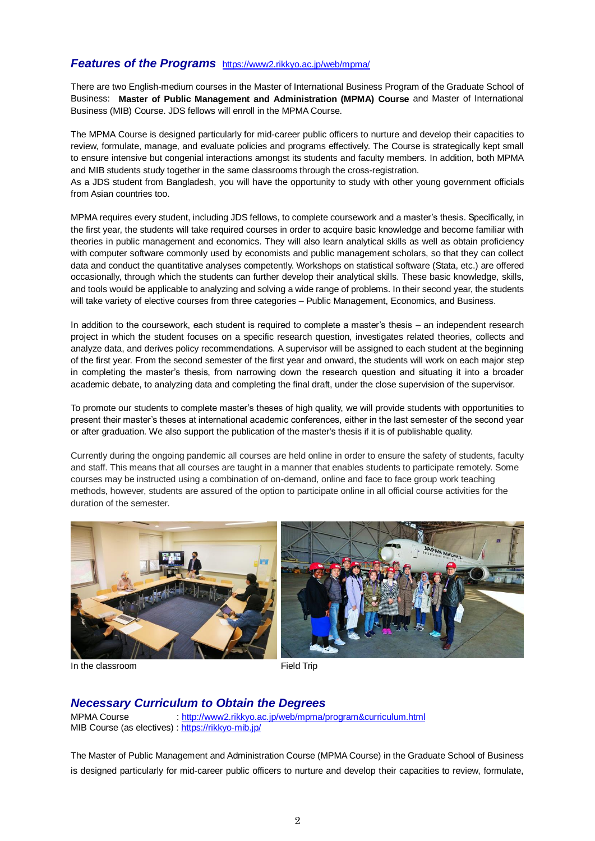# *Features of the Programs* <https://www2.rikkyo.ac.jp/web/mpma/>

There are two English-medium courses in the Master of International Business Program of the Graduate School of Business: **Master of Public Management and Administration (MPMA) Course** and Master of International Business (MIB) Course. JDS fellows will enroll in the MPMA Course.

The MPMA Course is designed particularly for mid-career public officers to nurture and develop their capacities to review, formulate, manage, and evaluate policies and programs effectively. The Course is strategically kept small to ensure intensive but congenial interactions amongst its students and faculty members. In addition, both MPMA and MIB students study together in the same classrooms through the cross-registration.

As a JDS student from Bangladesh, you will have the opportunity to study with other young government officials from Asian countries too.

MPMA requires every student, including JDS fellows, to complete coursework and a master's thesis. Specifically, in the first year, the students will take required courses in order to acquire basic knowledge and become familiar with theories in public management and economics. They will also learn analytical skills as well as obtain proficiency with computer software commonly used by economists and public management scholars, so that they can collect data and conduct the quantitative analyses competently. Workshops on statistical software (Stata, etc.) are offered occasionally, through which the students can further develop their analytical skills. These basic knowledge, skills, and tools would be applicable to analyzing and solving a wide range of problems. In their second year, the students will take variety of elective courses from three categories – Public Management, Economics, and Business.

In addition to the coursework, each student is required to complete a master's thesis – an independent research project in which the student focuses on a specific research question, investigates related theories, collects and analyze data, and derives policy recommendations. A supervisor will be assigned to each student at the beginning of the first year. From the second semester of the first year and onward, the students will work on each major step in completing the master's thesis, from narrowing down the research question and situating it into a broader academic debate, to analyzing data and completing the final draft, under the close supervision of the supervisor.

To promote our students to complete master's theses of high quality, we will provide students with opportunities to present their master's theses at international academic conferences, either in the last semester of the second year or after graduation. We also support the publication of the master's thesis if it is of publishable quality.

Currently during the ongoing pandemic all courses are held online in order to ensure the safety of students, faculty and staff. This means that all courses are taught in a manner that enables students to participate remotely. Some courses may be instructed using a combination of on-demand, online and face to face group work teaching methods, however, students are assured of the option to participate online in all official course activities for the duration of the semester.



In the classroom **Field Trip** 

# *Necessary Curriculum to Obtain the Degrees*

MPMA Course : <http://www2.rikkyo.ac.jp/web/mpma/program&curriculum.html> MIB Course (as electives) : <https://rikkyo-mib.jp/>

The Master of Public Management and Administration Course (MPMA Course) in the Graduate School of Business is designed particularly for mid-career public officers to nurture and develop their capacities to review, formulate,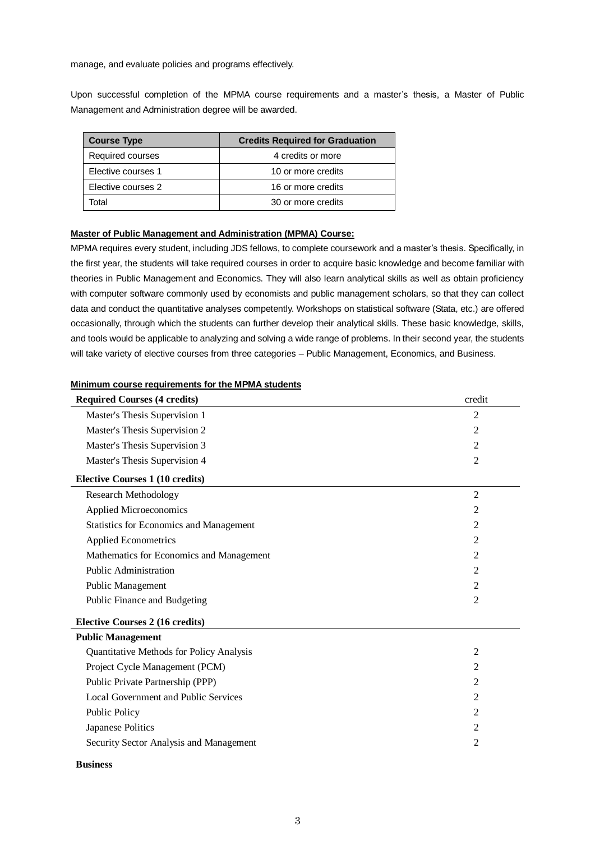manage, and evaluate policies and programs effectively.

Upon successful completion of the MPMA course requirements and a master's thesis, a Master of Public Management and Administration degree will be awarded.

| <b>Course Type</b> | <b>Credits Required for Graduation</b> |
|--------------------|----------------------------------------|
| Required courses   | 4 credits or more                      |
| Elective courses 1 | 10 or more credits                     |
| Elective courses 2 | 16 or more credits                     |
| Total              | 30 or more credits                     |

### **Master of Public Management and Administration (MPMA) Course:**

MPMA requires every student, including JDS fellows, to complete coursework and a master's thesis. Specifically, in the first year, the students will take required courses in order to acquire basic knowledge and become familiar with theories in Public Management and Economics. They will also learn analytical skills as well as obtain proficiency with computer software commonly used by economists and public management scholars, so that they can collect data and conduct the quantitative analyses competently. Workshops on statistical software (Stata, etc.) are offered occasionally, through which the students can further develop their analytical skills. These basic knowledge, skills, and tools would be applicable to analyzing and solving a wide range of problems. In their second year, the students will take variety of elective courses from three categories – Public Management, Economics, and Business.

### **Minimum course requirements for the MPMA students**

| <b>Required Courses (4 credits)</b>            | credit         |
|------------------------------------------------|----------------|
| Master's Thesis Supervision 1                  | 2              |
| Master's Thesis Supervision 2                  | 2              |
| Master's Thesis Supervision 3                  | $\overline{2}$ |
| Master's Thesis Supervision 4                  | $\overline{2}$ |
| <b>Elective Courses 1 (10 credits)</b>         |                |
| <b>Research Methodology</b>                    | $\overline{2}$ |
| <b>Applied Microeconomics</b>                  | $\overline{2}$ |
| <b>Statistics for Economics and Management</b> | 2              |
| <b>Applied Econometrics</b>                    | $\overline{2}$ |
| Mathematics for Economics and Management       | 2              |
| <b>Public Administration</b>                   | 2              |
| Public Management                              | 2              |
| Public Finance and Budgeting                   | 2              |
| <b>Elective Courses 2 (16 credits)</b>         |                |
| <b>Public Management</b>                       |                |
| Quantitative Methods for Policy Analysis       | 2              |
| Project Cycle Management (PCM)                 | $\overline{2}$ |
| Public Private Partnership (PPP)               | 2              |
| Local Government and Public Services           | 2              |
| <b>Public Policy</b>                           | 2              |
| Japanese Politics                              | $\overline{2}$ |
| Security Sector Analysis and Management        | 2              |
|                                                |                |

#### **Business**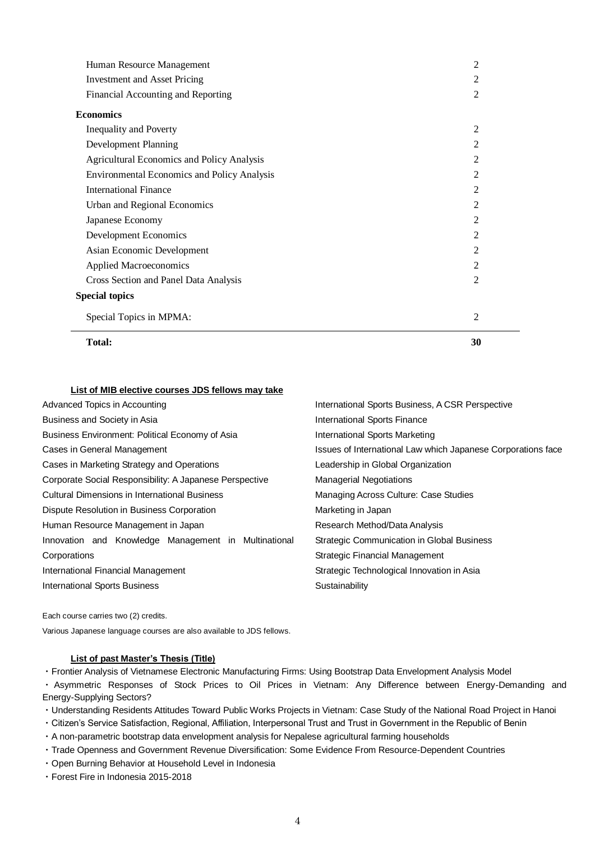| <b>Total:</b>                                      | 30             |
|----------------------------------------------------|----------------|
| Special Topics in MPMA:                            | 2              |
| <b>Special topics</b>                              |                |
| Cross Section and Panel Data Analysis              | $\mathfrak{D}$ |
| <b>Applied Macroeconomics</b>                      | $\mathfrak{D}$ |
| Asian Economic Development                         | $\overline{2}$ |
| Development Economics                              | $\overline{2}$ |
| Japanese Economy                                   | 2              |
| Urban and Regional Economics                       | $\overline{2}$ |
| <b>International Finance</b>                       | 2              |
| <b>Environmental Economics and Policy Analysis</b> | 2              |
| <b>Agricultural Economics and Policy Analysis</b>  | 2              |
| Development Planning                               | 2              |
| <b>Inequality and Poverty</b>                      | 2              |
| <b>Economics</b>                                   |                |
| Financial Accounting and Reporting                 | $\overline{2}$ |
| <b>Investment and Asset Pricing</b>                | 2              |
| Human Resource Management                          | $\overline{2}$ |

### **List of MIB elective courses JDS fellows may take**

| Advanced Topics in Accounting                           | International Sports Business, A CSR Perspective             |
|---------------------------------------------------------|--------------------------------------------------------------|
| Business and Society in Asia                            | <b>International Sports Finance</b>                          |
| Business Environment: Political Economy of Asia         | International Sports Marketing                               |
| Cases in General Management                             | Issues of International Law which Japanese Corporations face |
| Cases in Marketing Strategy and Operations              | Leadership in Global Organization                            |
| Corporate Social Responsibility: A Japanese Perspective | <b>Managerial Negotiations</b>                               |
| <b>Cultural Dimensions in International Business</b>    | Managing Across Culture: Case Studies                        |
| Dispute Resolution in Business Corporation              | Marketing in Japan                                           |
| Human Resource Management in Japan                      | Research Method/Data Analysis                                |
| Innovation and Knowledge Management in Multinational    | Strategic Communication in Global Business                   |
| Corporations                                            | Strategic Financial Management                               |
| International Financial Management                      | Strategic Technological Innovation in Asia                   |
| <b>International Sports Business</b>                    | Sustainability                                               |
|                                                         |                                                              |

Each course carries two (2) credits.

Various Japanese language courses are also available to JDS fellows.

#### **List of past Master's Thesis (Title)**

・Frontier Analysis of Vietnamese Electronic Manufacturing Firms: Using Bootstrap Data Envelopment Analysis Model

・ Asymmetric Responses of Stock Prices to Oil Prices in Vietnam: Any Difference between Energy-Demanding and Energy-Supplying Sectors?

・Understanding Residents Attitudes Toward Public Works Projects in Vietnam: Case Study of the National Road Project in Hanoi

- ・Citizen's Service Satisfaction, Regional, Affiliation, Interpersonal Trust and Trust in Government in the Republic of Benin
- ・A non-parametric bootstrap data envelopment analysis for Nepalese agricultural farming households
- ・Trade Openness and Government Revenue Diversification: Some Evidence From Resource-Dependent Countries
- ・Open Burning Behavior at Household Level in Indonesia
- ・Forest Fire in Indonesia 2015-2018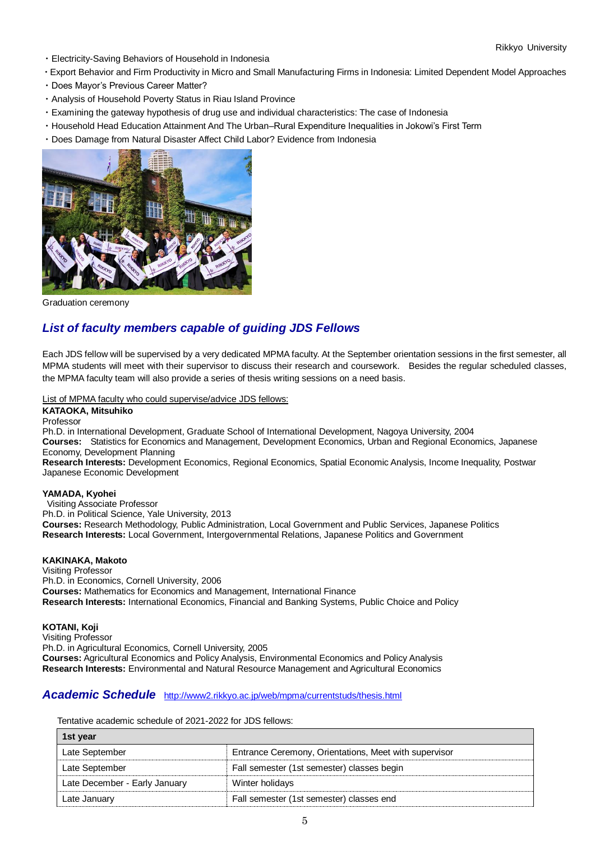- ・Electricity-Saving Behaviors of Household in Indonesia
- ・Export Behavior and Firm Productivity in Micro and Small Manufacturing Firms in Indonesia: Limited Dependent Model Approaches
- ・Does Mayor's Previous Career Matter?
- ・Analysis of Household Poverty Status in Riau Island Province
- ・Examining the gateway hypothesis of drug use and individual characteristics: The case of Indonesia
- ・Household Head Education Attainment And The Urban–Rural Expenditure Inequalities in Jokowi's First Term
- ・Does Damage from Natural Disaster Affect Child Labor? Evidence from Indonesia



Graduation ceremony

# *List of faculty members capable of guiding JDS Fellows*

Each JDS fellow will be supervised by a very dedicated MPMA faculty. At the September orientation sessions in the first semester, all MPMA students will meet with their supervisor to discuss their research and coursework. Besides the regular scheduled classes, the MPMA faculty team will also provide a series of thesis writing sessions on a need basis.

List of MPMA faculty who could supervise/advice JDS fellows:

### **KATAOKA, Mitsuhiko**

Professor

Ph.D. in International Development, Graduate School of International Development, Nagoya University, 2004 **Courses:** Statistics for Economics and Management, Development Economics, Urban and Regional Economics, Japanese Economy, Development Planning

**Research Interests:** Development Economics, Regional Economics, Spatial Economic Analysis, Income Inequality, Postwar Japanese Economic Development

#### **YAMADA, Kyohei**

Visiting Associate Professor Ph.D. in Political Science, Yale University, 2013 **Courses:** Research Methodology, Public Administration, Local Government and Public Services, Japanese Politics **Research Interests:** Local Government, Intergovernmental Relations, Japanese Politics and Government

#### **KAKINAKA, Makoto**

Visiting Professor Ph.D. in Economics, Cornell University, 2006 **Courses:** Mathematics for Economics and Management, International Finance **Research Interests:** International Economics, Financial and Banking Systems, Public Choice and Policy

**KOTANI, Koji**

Visiting Professor Ph.D. in Agricultural Economics, Cornell University, 2005 **Courses:** Agricultural Economics and Policy Analysis, Environmental Economics and Policy Analysis **Research Interests:** Environmental and Natural Resource Management and Agricultural Economics

## *Academic Schedule* <http://www2.rikkyo.ac.jp/web/mpma/currentstuds/thesis.html>

Tentative academic schedule of 2021-2022 for JDS fellows:

| 1st year                      |                                                       |
|-------------------------------|-------------------------------------------------------|
| Late September                | Entrance Ceremony, Orientations, Meet with supervisor |
| Late September                | Fall semester (1st semester) classes begin            |
| Late December - Early January | Winter holidays                                       |
| Late January                  | Fall semester (1st semester) classes end              |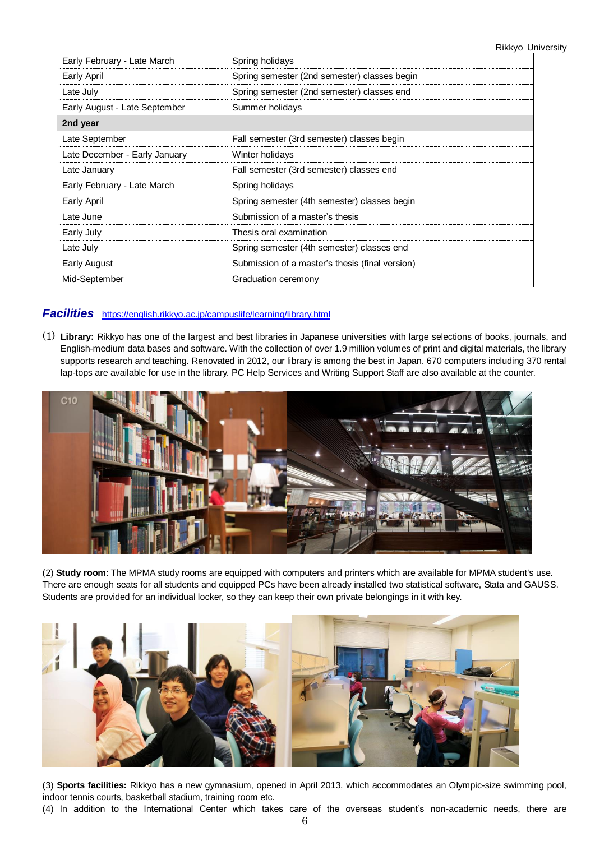Rikkyo University

| Early February - Late March   | Spring holidays                                 |  |
|-------------------------------|-------------------------------------------------|--|
| Early April                   | Spring semester (2nd semester) classes begin    |  |
| Late July                     | Spring semester (2nd semester) classes end      |  |
| Early August - Late September | Summer holidays                                 |  |
| 2nd year                      |                                                 |  |
| Late September                | Fall semester (3rd semester) classes begin      |  |
| Late December - Early January | Winter holidays                                 |  |
| Late January                  | Fall semester (3rd semester) classes end        |  |
| Early February - Late March   | Spring holidays                                 |  |
| Early April                   | Spring semester (4th semester) classes begin    |  |
| Late June                     | Submission of a master's thesis                 |  |
| Early July                    | Thesis oral examination                         |  |
| Late July                     | Spring semester (4th semester) classes end      |  |
| Early August                  | Submission of a master's thesis (final version) |  |
| Mid-September                 | Graduation ceremony                             |  |

# *Facilities* <https://english.rikkyo.ac.jp/campuslife/learning/library.html>

(1) **Library:** Rikkyo has one of the largest and best libraries in Japanese universities with large selections of books, journals, and English-medium data bases and software. With the collection of over 1.9 million volumes of print and digital materials, the library supports research and teaching. Renovated in 2012, our library is among the best in Japan. 670 computers including 370 rental lap-tops are available for use in the library. PC Help Services and Writing Support Staff are also available at the counter.



(2) **Study room**: The MPMA study rooms are equipped with computers and printers which are available for MPMA student's use. There are enough seats for all students and equipped PCs have been already installed two statistical software, Stata and GAUSS. Students are provided for an individual locker, so they can keep their own private belongings in it with key.



(3) **Sports facilities:** Rikkyo has a new gymnasium, opened in April 2013, which accommodates an Olympic-size swimming pool, indoor tennis courts, basketball stadium, training room etc.

(4) In addition to the International Center which takes care of the overseas student's non-academic needs, there are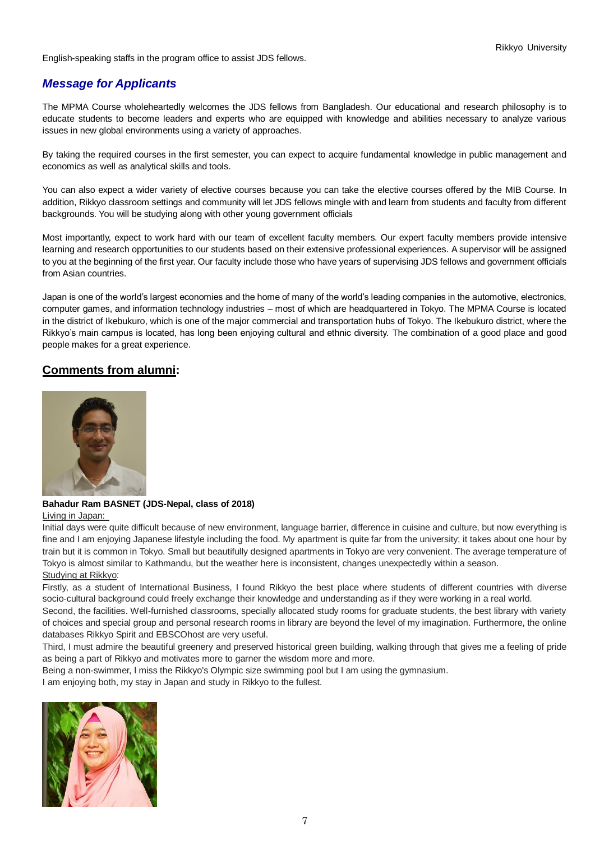English-speaking staffs in the program office to assist JDS fellows.

# *Message for Applicants*

The MPMA Course wholeheartedly welcomes the JDS fellows from Bangladesh. Our educational and research philosophy is to educate students to become leaders and experts who are equipped with knowledge and abilities necessary to analyze various issues in new global environments using a variety of approaches.

By taking the required courses in the first semester, you can expect to acquire fundamental knowledge in public management and economics as well as analytical skills and tools.

You can also expect a wider variety of elective courses because you can take the elective courses offered by the MIB Course. In addition, Rikkyo classroom settings and community will let JDS fellows mingle with and learn from students and faculty from different backgrounds. You will be studying along with other young government officials

Most importantly, expect to work hard with our team of excellent faculty members. Our expert faculty members provide intensive learning and research opportunities to our students based on their extensive professional experiences. A supervisor will be assigned to you at the beginning of the first year. Our faculty include those who have years of supervising JDS fellows and government officials from Asian countries.

Japan is one of the world's largest economies and the home of many of the world's leading companies in the automotive, electronics, computer games, and information technology industries – most of which are headquartered in Tokyo. The MPMA Course is located in the district of Ikebukuro, which is one of the major commercial and transportation hubs of Tokyo. The Ikebukuro district, where the Rikkyo's main campus is located, has long been enjoying cultural and ethnic diversity. The combination of a good place and good people makes for a great experience.

# **Comments from alumni:**



## **Bahadur Ram BASNET (JDS-Nepal, class of 2018)**

#### Living in Japan:

Initial days were quite difficult because of new environment, language barrier, difference in cuisine and culture, but now everything is fine and I am enjoying Japanese lifestyle including the food. My apartment is quite far from the university; it takes about one hour by train but it is common in Tokyo. Small but beautifully designed apartments in Tokyo are very convenient. The average temperature of Tokyo is almost similar to Kathmandu, but the weather here is inconsistent, changes unexpectedly within a season. Studying at Rikkyo:

Firstly, as a student of International Business, I found Rikkyo the best place where students of different countries with diverse socio-cultural background could freely exchange their knowledge and understanding as if they were working in a real world.

Second, the facilities. Well-furnished classrooms, specially allocated study rooms for graduate students, the best library with variety of choices and special group and personal research rooms in library are beyond the level of my imagination. Furthermore, the online databases Rikkyo Spirit and EBSCOhost are very useful.

Third, I must admire the beautiful greenery and preserved historical green building, walking through that gives me a feeling of pride as being a part of Rikkyo and motivates more to garner the wisdom more and more.

Being a non-swimmer, I miss the Rikkyo's Olympic size swimming pool but I am using the gymnasium.

I am enjoying both, my stay in Japan and study in Rikkyo to the fullest.